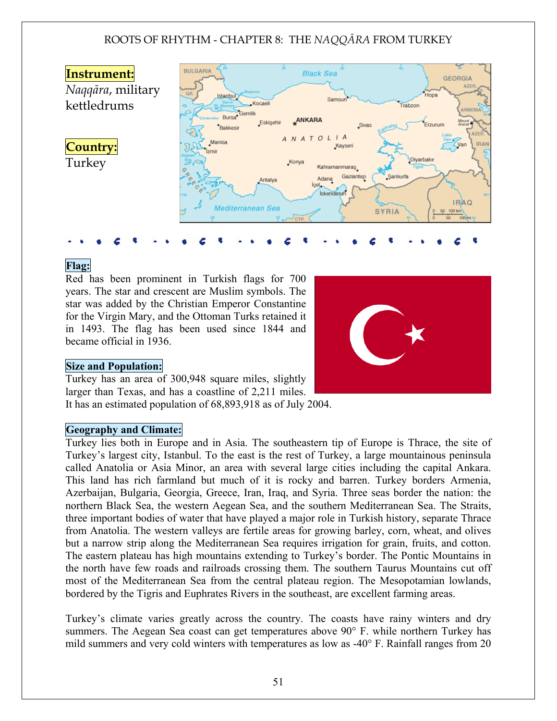

# Flag:

Red has been prominent in Turkish flags for 700 years. The star and crescent are Muslim symbols. The star was added by the Christian Emperor Constantine for the Virgin Mary, and the Ottoman Turks retained it in 1493. The flag has been used since 1844 and became official in 1936.

### Size and Population:

Turkey has an area of 300,948 square miles, slightly larger than Texas, and has a coastline of 2,211 miles. It has an estimated population of 68,893,918 as of July 2004.

### Geography and Climate:

Turkey lies both in Europe and in Asia. The southeastern tip of Europe is Thrace, the site of Turkey's largest city, Istanbul. To the east is the rest of Turkey, a large mountainous peninsula called Anatolia or Asia Minor, an area with several large cities including the capital Ankara. This land has rich farmland but much of it is rocky and barren. Turkey borders Armenia, Azerbaijan, Bulgaria, Georgia, Greece, Iran, Iraq, and Syria. Three seas border the nation: the northern Black Sea, the western Aegean Sea, and the southern Mediterranean Sea. The Straits, three important bodies of water that have played a major role in Turkish history, separate Thrace from Anatolia. The western valleys are fertile areas for growing barley, corn, wheat, and olives but a narrow strip along the Mediterranean Sea requires irrigation for grain, fruits, and cotton. The eastern plateau has high mountains extending to Turkey's border. The Pontic Mountains in the north have few roads and railroads crossing them. The southern Taurus Mountains cut off most of the Mediterranean Sea from the central plateau region. The Mesopotamian lowlands, bordered by the Tigris and Euphrates Rivers in the southeast, are excellent farming areas.

Turkey's climate varies greatly across the country. The coasts have rainy winters and dry summers. The Aegean Sea coast can get temperatures above 90° F. while northern Turkey has mild summers and very cold winters with temperatures as low as -40° F. Rainfall ranges from 20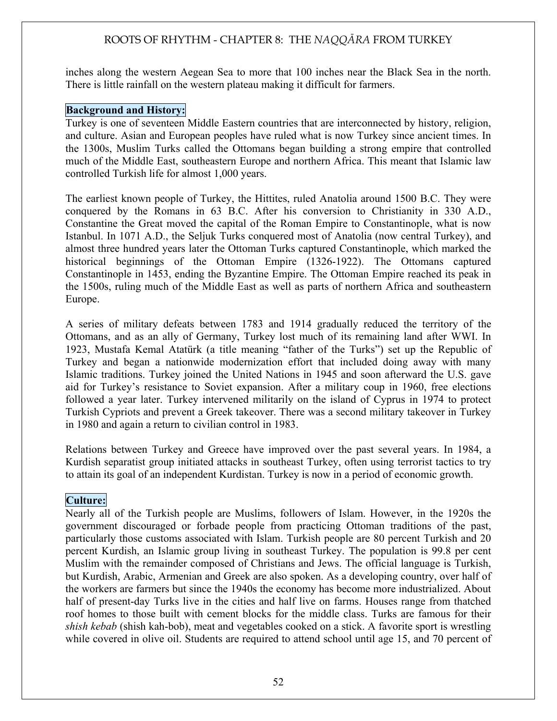inches along the western Aegean Sea to more that 100 inches near the Black Sea in the north. There is little rainfall on the western plateau making it difficult for farmers.

### Background and History:

Turkey is one of seventeen Middle Eastern countries that are interconnected by history, religion, and culture. Asian and European peoples have ruled what is now Turkey since ancient times. In the 1300s, Muslim Turks called the Ottomans began building a strong empire that controlled much of the Middle East, southeastern Europe and northern Africa. This meant that Islamic law controlled Turkish life for almost 1,000 years.

The earliest known people of Turkey, the Hittites, ruled Anatolia around 1500 B.C. They were conquered by the Romans in 63 B.C. After his conversion to Christianity in 330 A.D., Constantine the Great moved the capital of the Roman Empire to Constantinople, what is now Istanbul. In 1071 A.D., the Seljuk Turks conquered most of Anatolia (now central Turkey), and almost three hundred years later the Ottoman Turks captured Constantinople, which marked the historical beginnings of the Ottoman Empire (1326-1922). The Ottomans captured Constantinople in 1453, ending the Byzantine Empire. The Ottoman Empire reached its peak in the 1500s, ruling much of the Middle East as well as parts of northern Africa and southeastern Europe.

A series of military defeats between 1783 and 1914 gradually reduced the territory of the Ottomans, and as an ally of Germany, Turkey lost much of its remaining land after WWI. In 1923, Mustafa Kemal Atatürk (a title meaning "father of the Turks") set up the Republic of Turkey and began a nationwide modernization effort that included doing away with many Islamic traditions. Turkey joined the United Nations in 1945 and soon afterward the U.S. gave aid for Turkey's resistance to Soviet expansion. After a military coup in 1960, free elections followed a year later. Turkey intervened militarily on the island of Cyprus in 1974 to protect Turkish Cypriots and prevent a Greek takeover. There was a second military takeover in Turkey in 1980 and again a return to civilian control in 1983.

Relations between Turkey and Greece have improved over the past several years. In 1984, a Kurdish separatist group initiated attacks in southeast Turkey, often using terrorist tactics to try to attain its goal of an independent Kurdistan. Turkey is now in a period of economic growth.

# Culture:

Nearly all of the Turkish people are Muslims, followers of Islam. However, in the 1920s the government discouraged or forbade people from practicing Ottoman traditions of the past, particularly those customs associated with Islam. Turkish people are 80 percent Turkish and 20 percent Kurdish, an Islamic group living in southeast Turkey. The population is 99.8 per cent Muslim with the remainder composed of Christians and Jews. The official language is Turkish, but Kurdish, Arabic, Armenian and Greek are also spoken. As a developing country, over half of the workers are farmers but since the 1940s the economy has become more industrialized. About half of present-day Turks live in the cities and half live on farms. Houses range from thatched roof homes to those built with cement blocks for the middle class. Turks are famous for their *shish kebab* (shish kah-bob), meat and vegetables cooked on a stick. A favorite sport is wrestling while covered in olive oil. Students are required to attend school until age 15, and 70 percent of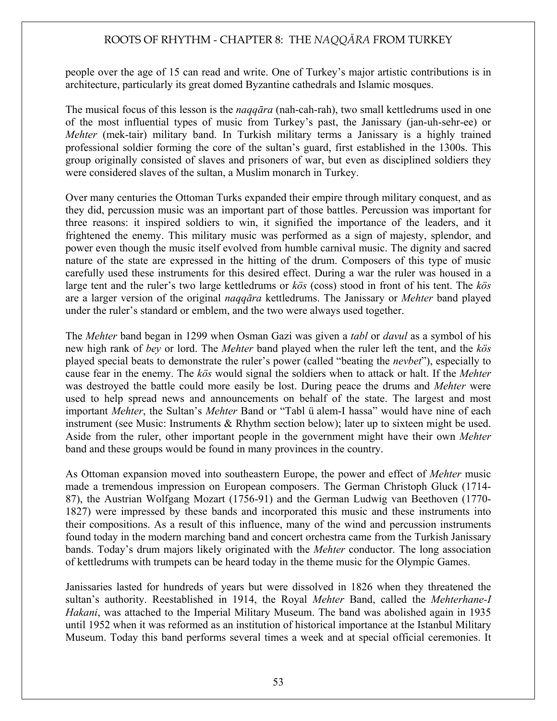people over the age of 15 can read and write. One of Turkey's major artistic contributions is in architecture, particularly its great domed Byzantine cathedrals and Islamic mosques.

The musical focus of this lesson is the *nagqara* (nah-cah-rah), two small kettledrums used in one of the most influential types of music from Turkey's past, the Janissary (jan-uh-sehr-ee) or *Mehter* (mek-tair) military band. In Turkish military terms a Janissary is a highly trained professional soldier forming the core of the sultan's guard, first established in the 1300s. This group originally consisted of slaves and prisoners of war, but even as disciplined soldiers they were considered slaves of the sultan, a Muslim monarch in Turkey.

Over many centuries the Ottoman Turks expanded their empire through military conquest, and as they did, percussion music was an important part of those battles. Percussion was important for three reasons: it inspired soldiers to win, it signified the importance of the leaders, and it frightened the enemy. This military music was performed as a sign of majesty, splendor, and power even though the music itself evolved from humble carnival music. The dignity and sacred nature of the state are expressed in the hitting of the drum. Composers of this type of music carefully used these instruments for this desired effect. During a war the ruler was housed in a large tent and the ruler's two large kettledrums or *kös* (coss) stood in front of his tent. The *kös* are a larger version of the original *naqqara* kettledrums. The Janissary or *Mehter* band played under the ruler's standard or emblem, and the two were always used together.

The *Mehter* band began in 1299 when Osman Gazi was given a *tabl* or *davul* as a symbol of his new high rank of *bey* or lord. The *Mehter* band played when the ruler left the tent, and the *kös* played special beats to demonstrate the ruler's power (called "beating the *nevbet*"), especially to cause fear in the enemy. The *kös* would signal the soldiers when to attack or halt. If the *Mehter* was destroyed the battle could more easily be lost. During peace the drums and *Mehter* were used to help spread news and announcements on behalf of the state. The largest and most important *Mehter*, the Sultan's *Mehter* Band or "Tabl ü alem-I hassa" would have nine of each instrument (see Music: Instruments & Rhythm section below); later up to sixteen might be used. Aside from the ruler, other important people in the government might have their own *Mehter* band and these groups would be found in many provinces in the country.

As Ottoman expansion moved into southeastern Europe, the power and effect of *Mehter* music made a tremendous impression on European composers. The German Christoph Gluck (1714- 87), the Austrian Wolfgang Mozart (1756-91) and the German Ludwig van Beethoven (1770- 1827) were impressed by these bands and incorporated this music and these instruments into their compositions. As a result of this influence, many of the wind and percussion instruments found today in the modern marching band and concert orchestra came from the Turkish Janissary bands. Today's drum majors likely originated with the *Mehter* conductor. The long association of kettledrums with trumpets can be heard today in the theme music for the Olympic Games.

Janissaries lasted for hundreds of years but were dissolved in 1826 when they threatened the sultan's authority. Reestablished in 1914, the Royal *Mehter* Band, called the *Mehterhane-I Hakani*, was attached to the Imperial Military Museum. The band was abolished again in 1935 until 1952 when it was reformed as an institution of historical importance at the Istanbul Military Museum. Today this band performs several times a week and at special official ceremonies. It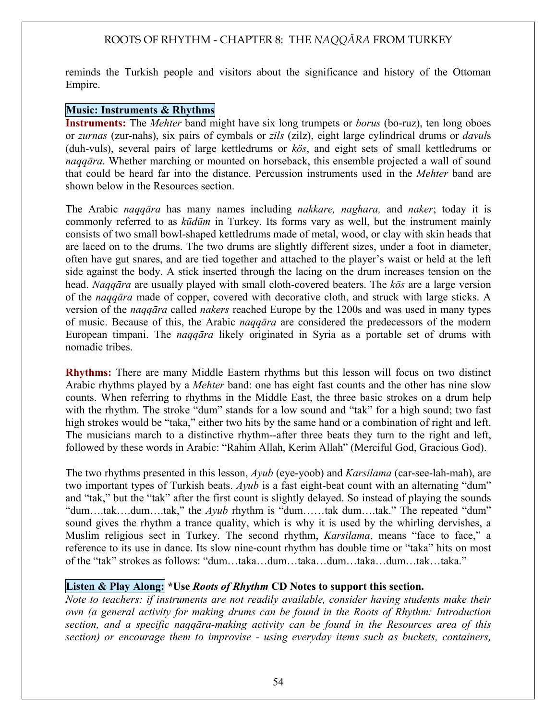reminds the Turkish people and visitors about the significance and history of the Ottoman Empire.

### Music: Instruments & Rhythms

Instruments: The *Mehter* band might have six long trumpets or *borus* (bo-ruz), ten long oboes or *zurnas* (zur-nahs), six pairs of cymbals or *zils* (zilz), eight large cylindrical drums or *davul*s (duh-vuls), several pairs of large kettledrums or *kös*, and eight sets of small kettledrums or *naqqara*. Whether marching or mounted on horseback, this ensemble projected a wall of sound that could be heard far into the distance. Percussion instruments used in the *Mehter* band are shown below in the Resources section.

The Arabic *naqqara* has many names including *nakkare, naghara*, and *naker*; today it is commonly referred to as *küdüm* in Turkey. Its forms vary as well, but the instrument mainly consists of two small bowl-shaped kettledrums made of metal, wood, or clay with skin heads that are laced on to the drums. The two drums are slightly different sizes, under a foot in diameter, often have gut snares, and are tied together and attached to the player's waist or held at the left side against the body. A stick inserted through the lacing on the drum increases tension on the head. *Nagqara* are usually played with small cloth-covered beaters. The *kös* are a large version of the *naqqara* made of copper, covered with decorative cloth, and struck with large sticks. A version of the *naqqara* called *nakers* reached Europe by the 1200s and was used in many types of music. Because of this, the Arabic *naqqara* are considered the predecessors of the modern European timpani. The *naqqara* likely originated in Syria as a portable set of drums with nomadic tribes.

Rhythms: There are many Middle Eastern rhythms but this lesson will focus on two distinct Arabic rhythms played by a *Mehter* band: one has eight fast counts and the other has nine slow counts. When referring to rhythms in the Middle East, the three basic strokes on a drum help with the rhythm. The stroke "dum" stands for a low sound and "tak" for a high sound; two fast high strokes would be "taka," either two hits by the same hand or a combination of right and left. The musicians march to a distinctive rhythm--after three beats they turn to the right and left, followed by these words in Arabic: "Rahim Allah, Kerim Allah" (Merciful God, Gracious God).

The two rhythms presented in this lesson, *Ayub* (eye-yoob) and *Karsilama* (car-see-lah-mah), are two important types of Turkish beats. *Ayub* is a fast eight-beat count with an alternating "dum" and "tak," but the "tak" after the first count is slightly delayed. So instead of playing the sounds "dum….tak….dum….tak," the *Ayub* rhythm is "dum……tak dum….tak." The repeated "dum" sound gives the rhythm a trance quality, which is why it is used by the whirling dervishes, a Muslim religious sect in Turkey. The second rhythm, *Karsilama*, means "face to face," a reference to its use in dance. Its slow nine-count rhythm has double time or "taka" hits on most of the "tak" strokes as follows: "dum…taka…dum…taka…dum…taka…dum…tak…taka."

### Listen & Play Along: \*Use *Roots of Rhythm* CD Notes to support this section.

*Note to teachers: if instruments are not readily available, consider having students make their own (a general activity for making drums can be found in the Roots of Rhythm: Introduction section, and a specific naqq!ra-making activity can be found in the Resources area of this section) or encourage them to improvise - using everyday items such as buckets, containers,*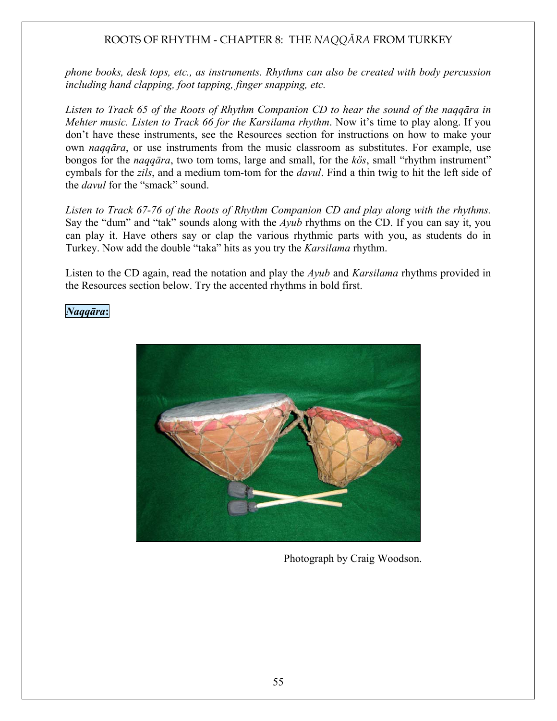*phone books, desk tops, etc., as instruments. Rhythms can also be created with body percussion including hand clapping, foot tapping, finger snapping, etc.* 

Listen to Track 65 of the Roots of Rhythm Companion CD to hear the sound of the nagq*ara* in *Mehter music. Listen to Track 66 for the Karsilama rhythm*. Now it's time to play along. If you don't have these instruments, see the Resources section for instructions on how to make your own *naqqara*, or use instruments from the music classroom as substitutes. For example, use bongos for the *naqqara*, two tom toms, large and small, for the *kös*, small "rhythm instrument" cymbals for the *zils*, and a medium tom-tom for the *davul*. Find a thin twig to hit the left side of the *davul* for the "smack" sound.

*Listen to Track 67-76 of the Roots of Rhythm Companion CD and play along with the rhythms.*  Say the "dum" and "tak" sounds along with the *Ayub* rhythms on the CD. If you can say it, you can play it. Have others say or clap the various rhythmic parts with you, as students do in Turkey. Now add the double "taka" hits as you try the *Karsilama* rhythm.

Listen to the CD again, read the notation and play the *Ayub* and *Karsilama* rhythms provided in the Resources section below. Try the accented rhythms in bold first.

### *Naqq!ra*:



Photograph by Craig Woodson.